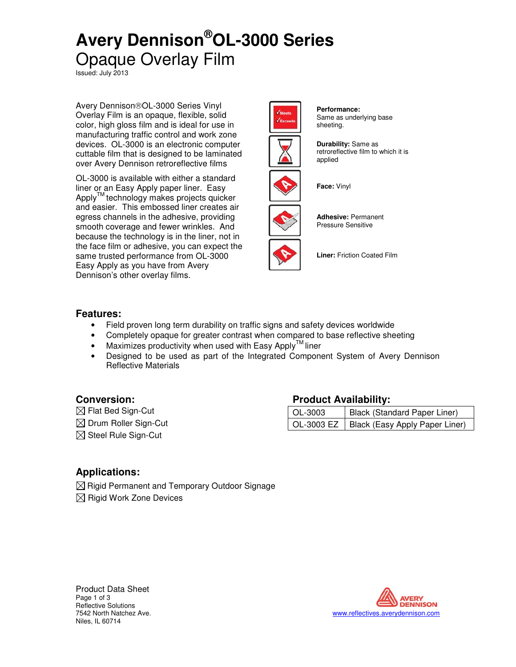# **Avery Dennison®OL-3000 Series** Opaque Overlay Film

Issued: July 2013

Avery Dennison®OL-3000 Series Vinyl Overlay Film is an opaque, flexible, solid color, high gloss film and is ideal for use in manufacturing traffic control and work zone devices. OL-3000 is an electronic computer cuttable film that is designed to be laminated over Avery Dennison retroreflective films

OL-3000 is available with either a standard liner or an Easy Apply paper liner. Easy Apply<sup>™</sup> technology makes projects quicker and easier. This embossed liner creates air egress channels in the adhesive, providing smooth coverage and fewer wrinkles. And because the technology is in the liner, not in the face film or adhesive, you can expect the same trusted performance from OL-3000 Easy Apply as you have from Avery Dennison's other overlay films.



**Performance:** Same as underlying base sheeting.



**Durability:** Same as retroreflective film to which it is applied



**Face:** Vinyl



**Adhesive:** Permanent Pressure Sensitive

**Liner:** Friction Coated Film

### **Features:**

- Field proven long term durability on traffic signs and safety devices worldwide
- Completely opaque for greater contrast when compared to base reflective sheeting
- Maximizes productivity when used with Easy Apply<sup>TM</sup> liner
- Designed to be used as part of the Integrated Component System of Avery Dennison Reflective Materials

### **Conversion: Product Availability:**

 Flat Bed Sign-Cut OL-3003 Black (Standard Paper Liner) ⊠ Drum Roller Sign-Cut **OL-3003 EZ** Black (Easy Apply Paper Liner)  $\boxtimes$  Steel Rule Sign-Cut

## **Applications:**

 $\boxtimes$  Rigid Permanent and Temporary Outdoor Signage  $\boxtimes$  Rigid Work Zone Devices



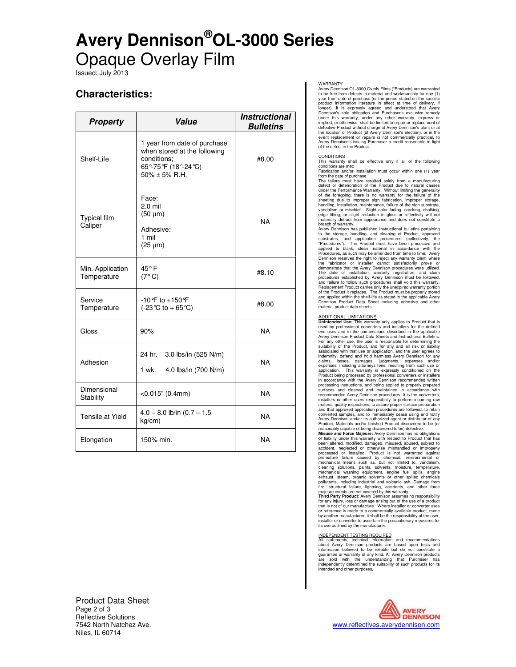# **Avery Dennison®OL-3000 Series** Opaque Overlay Film

Issued: July 2013

## **Characteristics:**

| <b>Property</b>                 | Value                                                                                                                     | <i><b>Instructional</b></i><br><b>Bulletins</b> |
|---------------------------------|---------------------------------------------------------------------------------------------------------------------------|-------------------------------------------------|
| Shelf-Life                      | 1 year from date of purchase<br>when stored at the following<br>conditions:<br>65°-75°F (18°-24°C)<br>$50\% \pm 5\%$ R.H. | #8.00                                           |
| <b>Typical film</b><br>Caliper  | Face:<br>$2.0$ mil<br>$(50 \mu m)$<br>Adhesive:<br>1 mil<br>$(25 \mu m)$                                                  | <b>NA</b>                                       |
| Min. Application<br>Temperature | 45°F<br>(7°C)                                                                                                             | #8.10                                           |
| Service<br>Temperature          | $-10^{\circ}$ F to $+150^{\circ}$ F<br>(-23 ℃ to + 65 ℃)                                                                  | #8.00                                           |
| Gloss                           | 90%                                                                                                                       | <b>NA</b>                                       |
| Adhesion                        | 24 hr.<br>3.0 lbs/in (525 N/m)<br>4.0 lbs/in (700 N/m)<br>1 wk.                                                           | <b>NA</b>                                       |
| Dimensional<br>Stability        | $<$ 0.015" (0.4mm)                                                                                                        | <b>NA</b>                                       |
| Tensile at Yield                | $4.0 - 8.0$ lb/in $(0.7 - 1.5)$<br>kg/cm)                                                                                 | <b>NA</b>                                       |
| Elongation                      | 150% min.                                                                                                                 | <b>NA</b>                                       |

Product Data Sheet Page 2 of 3 Reflective Solutions<br>7542 North Natchez Ave. Niles, IL 60714

WARRANTY Avery Dennison OL-3000 Overly Films ("Products) are warranted to be free from defects in material and workmanship for one (1) year from date of purchase (or the period stated on the specific product information literature in effect at time of delivery, if<br>longer). It is expressly agreed and understood that Avery<br>Dennison's sole obligation and Purchaser's exclusive remedy<br>under this warranty, under any other wa

CONDITIONS This warranty shall be effective only if all of the following conditions are met: Fabrication and/or installation must occur within one (1) year from the date of purchase.

The failure must have resulted solely from a manufacturing defect or deterioration of the Product due to natural causes under the Performance Warranty. Without limiting the generality<br>of the foregoing, there is no warranty for the failure of the<br>sheeting due to improper sign fabrication, improper storage,<br>handling, installation, maintenance vandalism or mischief. Slight color fading, cracking, chalking,<br>edge lifting, or slight reduction in gloss or reflectivity will not<br>materially detract from appearance and does not constitute a<br>breach of warranty.<br>Avery Den

to the storage, handling, and cleaning of Product, approved substrates, and application procedures (collectively, the<br>"Procedures"). The Product must have been processed and<br>applied to blank, clean material in accordance with the<br>Procedures, as such may be amended from time to time the fabricator or installer cannot satisfactorily prove or<br>demonstrate that the Avery Dennison procedures were utilized.<br>The date of installation, warranty registration, and claim<br>procedures established by Avery Dennison m and failure to follow such procedures shall void this warranty. Replacement Product carries only the unexpired warranty portion of the Product it replaces. The Product must be properly stored and applied within the shelf-life as stated in the applicable Avery Dennison Product Data Sheet including adhesive and other material product data sheets.

ADDITIONAL LIMITATIONS **Unintended Use:** This warranty only applies to Product that is used by professional converters and installers for the defined end uses and in the combinations described in the applicable<br>Avery Dennison Product Data Sheets and Instructional Bulletins.<br>For any other use, the user is responsible for determining the<br>suitability of the Product, and fo claims, losses, damages, judgments, expenses and/or expenses, including attorneys fees, resulting from such use or application. This warranty is expressly conditioned on the<br>Product being processed by professional converters or installers<br>in accordance with the Avery Dennison recommended written<br>processing instructions, and being appli surfaces and cleaned and maintained in accordance with recommended Avery Dennison procedures. It is the converters, installers or other users responsibility to perform incoming raw material quality inspections, to assure proper surface preparation and that approved application procedures are followed, to retain converted samples, and to immediately cease using and notify Avery Dennison and/or its authorized agent or distributor of any Product, Materials and/or finished Product discovered to be (or

reasonably capable of being discovered to be) defective.<br>Misuse and Force Majeure: Avery Dennison has no obligations<br>or liability under this warranty with respect to Product that has<br>been altered, modified, damaged, misuse accident, neglected or otherwise mishandled or improperly<br>processed or installed. Product is not warranted against<br>premature failure caused by chemical, environmental or<br>mechanical means such as, but not limited to, vandal cleaning solutions, paints, solvents, moisture, temperature, considering solutions, endependence exhaust, steam, organic solvents or other spilled chemicals pollutants, including industrial and volcanic ash. Damage from fr

for any injury, loss or damage arising out of the use of a product<br>that is not of our manufacture. Where installer or converter uses<br>or reference is made to a commercially available product, made<br>by another manufacturer, i installer or converter to ascertain the precautionary measures for its use outlined by the manufacturer.

INDEPENDENT TESTING REQUIRED All statements, technical information and recommendations about Avery Dennison products are based upon tests and information believed to be reliable but do not constitute a guarantee or warranty of any kind. All Avery Dennison products are sold with the understanding that Purchaser has independently determined the suitability of such products for its intended and other purposes.